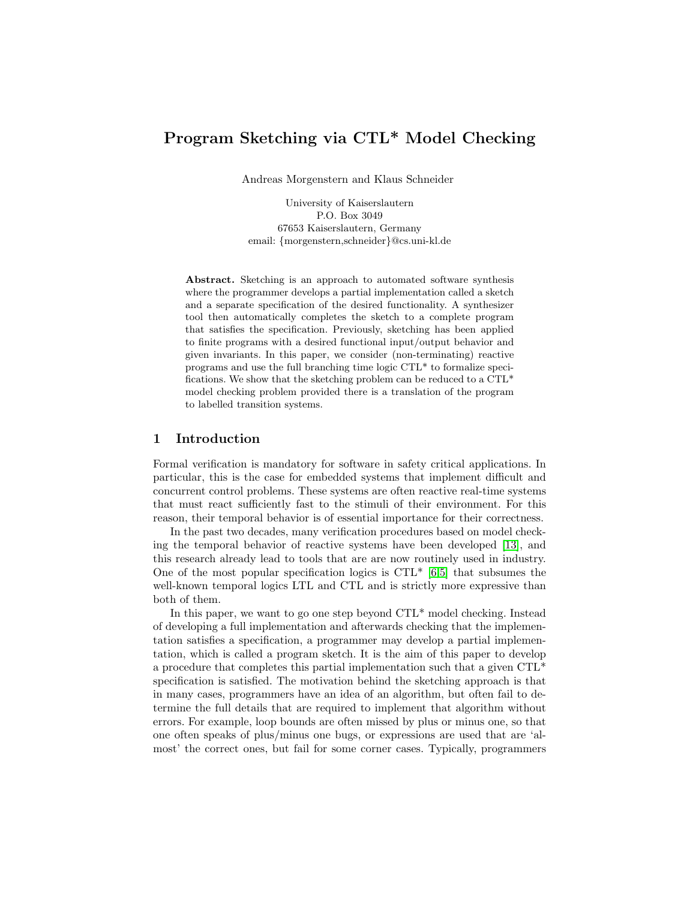# Program Sketching via CTL\* Model Checking

Andreas Morgenstern and Klaus Schneider

University of Kaiserslautern P.O. Box 3049 67653 Kaiserslautern, Germany email: {morgenstern,schneider}@cs.uni-kl.de

Abstract. Sketching is an approach to automated software synthesis where the programmer develops a partial implementation called a sketch and a separate specification of the desired functionality. A synthesizer tool then automatically completes the sketch to a complete program that satisfies the specification. Previously, sketching has been applied to finite programs with a desired functional input/output behavior and given invariants. In this paper, we consider (non-terminating) reactive programs and use the full branching time logic CTL\* to formalize specifications. We show that the sketching problem can be reduced to a CTL\* model checking problem provided there is a translation of the program to labelled transition systems.

# 1 Introduction

Formal verification is mandatory for software in safety critical applications. In particular, this is the case for embedded systems that implement difficult and concurrent control problems. These systems are often reactive real-time systems that must react sufficiently fast to the stimuli of their environment. For this reason, their temporal behavior is of essential importance for their correctness.

In the past two decades, many verification procedures based on model checking the temporal behavior of reactive systems have been developed [\[13\]](#page-17-0), and this research already lead to tools that are are now routinely used in industry. One of the most popular specification logics is  $\text{CTL}^*$  [\[6,](#page-17-1)[5\]](#page-17-2) that subsumes the well-known temporal logics LTL and CTL and is strictly more expressive than both of them.

In this paper, we want to go one step beyond CTL\* model checking. Instead of developing a full implementation and afterwards checking that the implementation satisfies a specification, a programmer may develop a partial implementation, which is called a program sketch. It is the aim of this paper to develop a procedure that completes this partial implementation such that a given CTL\* specification is satisfied. The motivation behind the sketching approach is that in many cases, programmers have an idea of an algorithm, but often fail to determine the full details that are required to implement that algorithm without errors. For example, loop bounds are often missed by plus or minus one, so that one often speaks of plus/minus one bugs, or expressions are used that are 'almost' the correct ones, but fail for some corner cases. Typically, programmers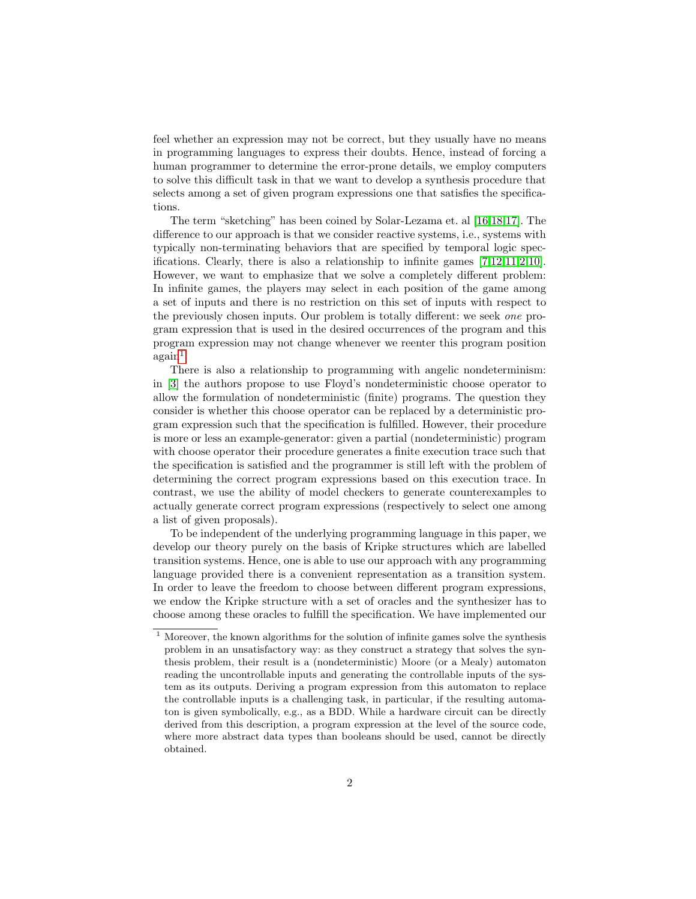feel whether an expression may not be correct, but they usually have no means in programming languages to express their doubts. Hence, instead of forcing a human programmer to determine the error-prone details, we employ computers to solve this difficult task in that we want to develop a synthesis procedure that selects among a set of given program expressions one that satisfies the specifications.

The term "sketching" has been coined by Solar-Lezama et. al [\[16,](#page-17-3)[18,](#page-17-4)[17\]](#page-17-5). The difference to our approach is that we consider reactive systems, i.e., systems with typically non-terminating behaviors that are specified by temporal logic specifications. Clearly, there is also a relationship to infinite games [\[7,](#page-17-6)[12,](#page-17-7)[11,](#page-17-8)[2,](#page-17-9)[10\]](#page-17-10). However, we want to emphasize that we solve a completely different problem: In infinite games, the players may select in each position of the game among a set of inputs and there is no restriction on this set of inputs with respect to the previously chosen inputs. Our problem is totally different: we seek one program expression that is used in the desired occurrences of the program and this program expression may not change whenever we reenter this program position  $a$ gain<sup>[1](#page-1-0)</sup>.

There is also a relationship to programming with angelic nondeterminism: in [\[3\]](#page-17-11) the authors propose to use Floyd's nondeterministic choose operator to allow the formulation of nondeterministic (finite) programs. The question they consider is whether this choose operator can be replaced by a deterministic program expression such that the specification is fulfilled. However, their procedure is more or less an example-generator: given a partial (nondeterministic) program with choose operator their procedure generates a finite execution trace such that the specification is satisfied and the programmer is still left with the problem of determining the correct program expressions based on this execution trace. In contrast, we use the ability of model checkers to generate counterexamples to actually generate correct program expressions (respectively to select one among a list of given proposals).

To be independent of the underlying programming language in this paper, we develop our theory purely on the basis of Kripke structures which are labelled transition systems. Hence, one is able to use our approach with any programming language provided there is a convenient representation as a transition system. In order to leave the freedom to choose between different program expressions, we endow the Kripke structure with a set of oracles and the synthesizer has to choose among these oracles to fulfill the specification. We have implemented our

<span id="page-1-0"></span> $1$  Moreover, the known algorithms for the solution of infinite games solve the synthesis problem in an unsatisfactory way: as they construct a strategy that solves the synthesis problem, their result is a (nondeterministic) Moore (or a Mealy) automaton reading the uncontrollable inputs and generating the controllable inputs of the system as its outputs. Deriving a program expression from this automaton to replace the controllable inputs is a challenging task, in particular, if the resulting automaton is given symbolically, e.g., as a BDD. While a hardware circuit can be directly derived from this description, a program expression at the level of the source code, where more abstract data types than booleans should be used, cannot be directly obtained.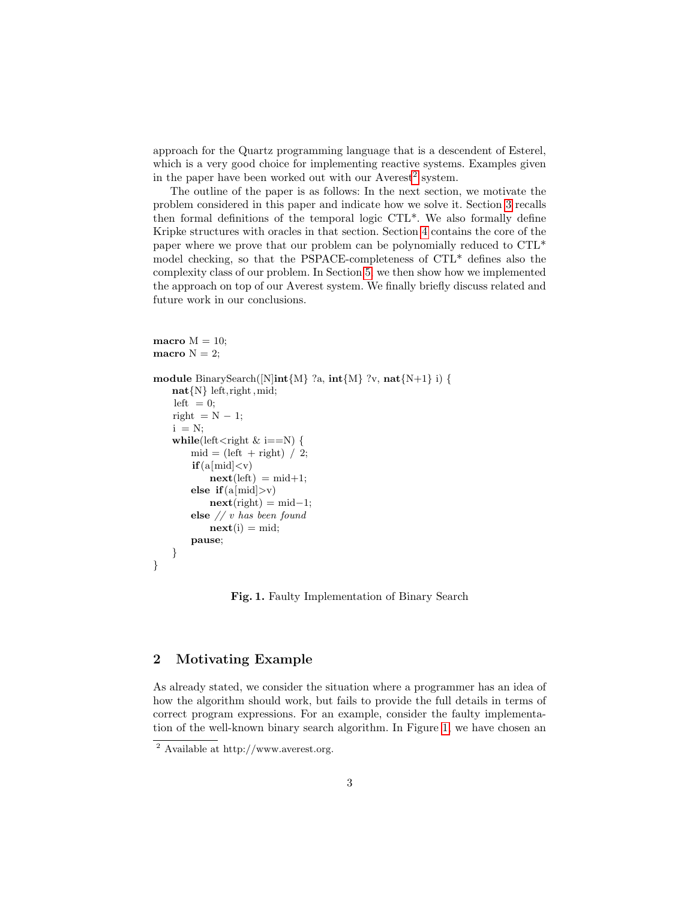approach for the Quartz programming language that is a descendent of Esterel, which is a very good choice for implementing reactive systems. Examples given in the paper have been worked out with our  $A$ verest<sup>[2](#page-2-0)</sup> system.

The outline of the paper is as follows: In the next section, we motivate the problem considered in this paper and indicate how we solve it. Section [3](#page-2-1) recalls then formal definitions of the temporal logic CTL\*. We also formally define Kripke structures with oracles in that section. Section [4](#page-2-1) contains the core of the paper where we prove that our problem can be polynomially reduced to CTL\* model checking, so that the PSPACE-completeness of CTL\* defines also the complexity class of our problem. In Section [5,](#page-2-1) we then show how we implemented the approach on top of our Averest system. We finally briefly discuss related and future work in our conclusions.

```
macro M = 10;
macro N = 2;
module BinarySearch([N]int{M} ?a, int{M} ?v, nat{N+1} i) {
    nat\{N\} left, right, mid;
    left = 0;right = N - 1;
    i = N;while(left \langle right \& i==N) {
        mid = (left + right) / 2;if(a[\text{mid}]<v)next(left) = mid+1;else if (a[mid] > v)\mathbf{next}(\text{right}) = \text{mid}-1;else // v has been found
            next(i) = mid;pause;
    }
}
```
<span id="page-2-1"></span>Fig. 1. Faulty Implementation of Binary Search

# 2 Motivating Example

As already stated, we consider the situation where a programmer has an idea of how the algorithm should work, but fails to provide the full details in terms of correct program expressions. For an example, consider the faulty implementation of the well-known binary search algorithm. In Figure [1,](#page-2-1) we have chosen an

<span id="page-2-0"></span><sup>2</sup> Available at http://www.averest.org.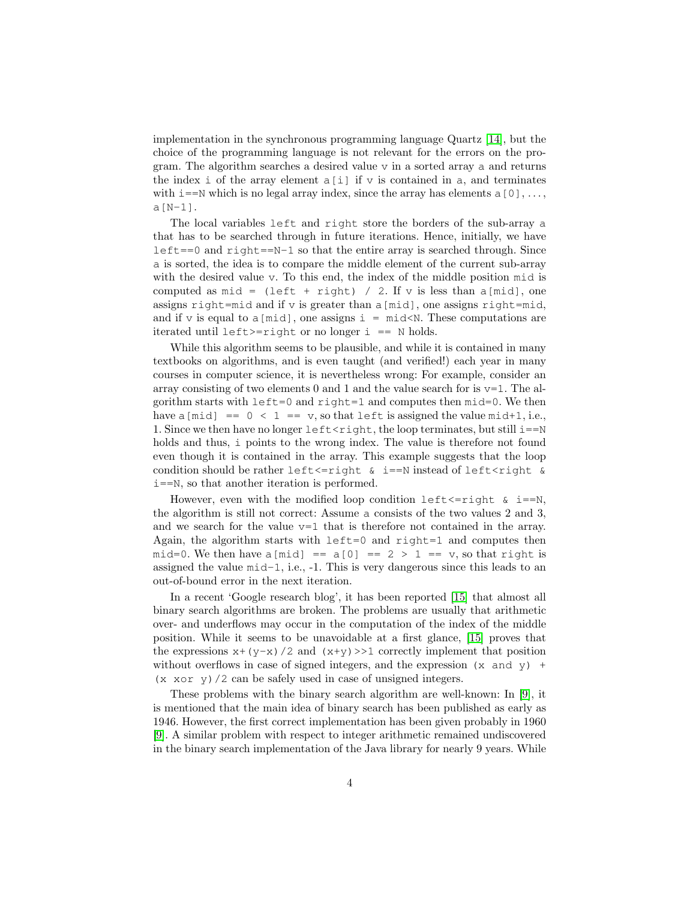implementation in the synchronous programming language Quartz [\[14\]](#page-17-12), but the choice of the programming language is not relevant for the errors on the program. The algorithm searches a desired value v in a sorted array a and returns the index i of the array element  $a[i]$  if v is contained in a, and terminates with  $i == N$  which is no legal array index, since the array has elements a  $[0], \ldots$ ,  $a[N-1]$ .

The local variables left and right store the borders of the sub-array a that has to be searched through in future iterations. Hence, initially, we have left==0 and right==N-1 so that the entire array is searched through. Since a is sorted, the idea is to compare the middle element of the current sub-array with the desired value v. To this end, the index of the middle position mid is computed as  $mid = (left + right) / 2$ . If v is less than a [mid], one assigns right=mid and if v is greater than a[mid], one assigns right=mid, and if v is equal to a [mid], one assigns  $i = mid < N$ . These computations are iterated until left > = right or no longer  $i = N$  holds.

While this algorithm seems to be plausible, and while it is contained in many textbooks on algorithms, and is even taught (and verified!) each year in many courses in computer science, it is nevertheless wrong: For example, consider an array consisting of two elements 0 and 1 and the value search for is  $v=1$ . The algorithm starts with  $left=0$  and  $right=1$  and computes then  $mid=0$ . We then have a [mid] ==  $0 < 1$  == v, so that left is assigned the value mid+1, i.e., 1. Since we then have no longer left  $\langle$ right, the loop terminates, but still i==N holds and thus, i points to the wrong index. The value is therefore not found even though it is contained in the array. This example suggests that the loop condition should be rather left  $\epsilon = r \cdot r$  is  $i = -N$  instead of left  $\epsilon$ right  $\epsilon$ i==N, so that another iteration is performed.

However, even with the modified loop condition left  $\leq$  right  $\&$  i==N, the algorithm is still not correct: Assume a consists of the two values 2 and 3, and we search for the value v=1 that is therefore not contained in the array. Again, the algorithm starts with left=0 and right=1 and computes then mid=0. We then have a  $[\text{mid}]$  == a $[0]$  == 2 > 1 == v, so that right is assigned the value  $mid-1$ , i.e.,  $-1$ . This is very dangerous since this leads to an out-of-bound error in the next iteration.

In a recent 'Google research blog', it has been reported [\[15\]](#page-17-13) that almost all binary search algorithms are broken. The problems are usually that arithmetic over- and underflows may occur in the computation of the index of the middle position. While it seems to be unavoidable at a first glance, [\[15\]](#page-17-13) proves that the expressions  $x+(y-x)/2$  and  $(x+y)\geq 1$  correctly implement that position without overflows in case of signed integers, and the expression  $(x \text{ and } y)$  + (x xor y)/2 can be safely used in case of unsigned integers.

These problems with the binary search algorithm are well-known: In [\[9\]](#page-17-14), it is mentioned that the main idea of binary search has been published as early as 1946. However, the first correct implementation has been given probably in 1960 [\[9\]](#page-17-14). A similar problem with respect to integer arithmetic remained undiscovered in the binary search implementation of the Java library for nearly 9 years. While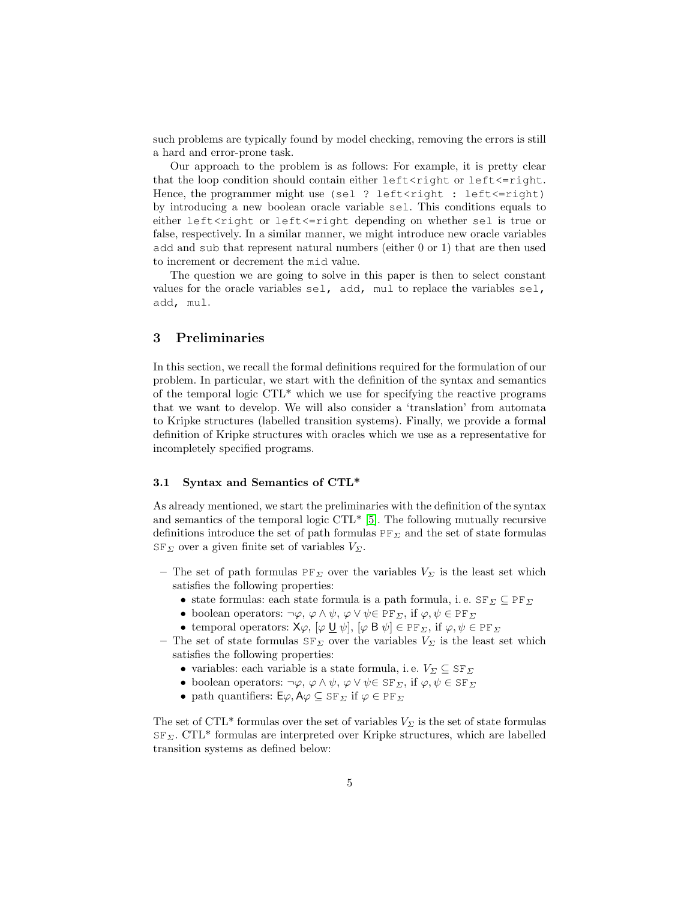such problems are typically found by model checking, removing the errors is still a hard and error-prone task.

Our approach to the problem is as follows: For example, it is pretty clear that the loop condition should contain either left<right or left<=right. Hence, the programmer might use (sel ? left<right : left<=right) by introducing a new boolean oracle variable sel. This conditions equals to either left<right or left<=right depending on whether sel is true or false, respectively. In a similar manner, we might introduce new oracle variables add and sub that represent natural numbers (either 0 or 1) that are then used to increment or decrement the mid value.

The question we are going to solve in this paper is then to select constant values for the oracle variables sel, add, mul to replace the variables sel, add, mul.

# 3 Preliminaries

In this section, we recall the formal definitions required for the formulation of our problem. In particular, we start with the definition of the syntax and semantics of the temporal logic CTL\* which we use for specifying the reactive programs that we want to develop. We will also consider a 'translation' from automata to Kripke structures (labelled transition systems). Finally, we provide a formal definition of Kripke structures with oracles which we use as a representative for incompletely specified programs.

#### 3.1 Syntax and Semantics of CTL\*

As already mentioned, we start the preliminaries with the definition of the syntax and semantics of the temporal logic CTL\* [\[5\]](#page-17-2). The following mutually recursive definitions introduce the set of path formulas  $\mathtt{PF}_\varSigma$  and the set of state formulas  $SF_{\Sigma}$  over a given finite set of variables  $V_{\Sigma}$ .

- The set of path formulas PF<sub>Σ</sub> over the variables  $V_{\Sigma}$  is the least set which satisfies the following properties:
	- state formulas: each state formula is a path formula, i.e.  $SF_{\Sigma} \subseteq PF_{\Sigma}$
	- boolean operators:  $\neg \varphi$ ,  $\varphi \wedge \psi$ ,  $\varphi \vee \psi \in \text{PF}_{\Sigma}$ , if  $\varphi, \psi \in \text{PF}_{\Sigma}$
	- temporal operators:  $\mathsf{X}\varphi$ ,  $[\varphi \underline{\mathsf{U}} \psi], [\varphi \underline{\mathsf{B}} \psi] \in \text{PF}_{\Sigma}$ , if  $\varphi, \psi \in \text{PF}_{\Sigma}$
- The set of state formulas  $SF_{\Sigma}$  over the variables  $V_{\Sigma}$  is the least set which satisfies the following properties:
	- variables: each variable is a state formula, i.e.  $V_{\Sigma} \subseteq S_{\Sigma}$
	- boolean operators:  $\neg \varphi, \varphi \wedge \psi, \varphi \vee \psi \in \text{SF}_{\Sigma}$ , if  $\varphi, \psi \in \text{SF}_{\Sigma}$
	- path quantifiers:  $E\varphi, A\varphi \subseteq S_{F\Sigma}$  if  $\varphi \in P_{F\Sigma}$

The set of CTL<sup>\*</sup> formulas over the set of variables  $V_{\Sigma}$  is the set of state formulas  $S_{\mathcal{F}\Sigma}$ . CTL\* formulas are interpreted over Kripke structures, which are labelled transition systems as defined below: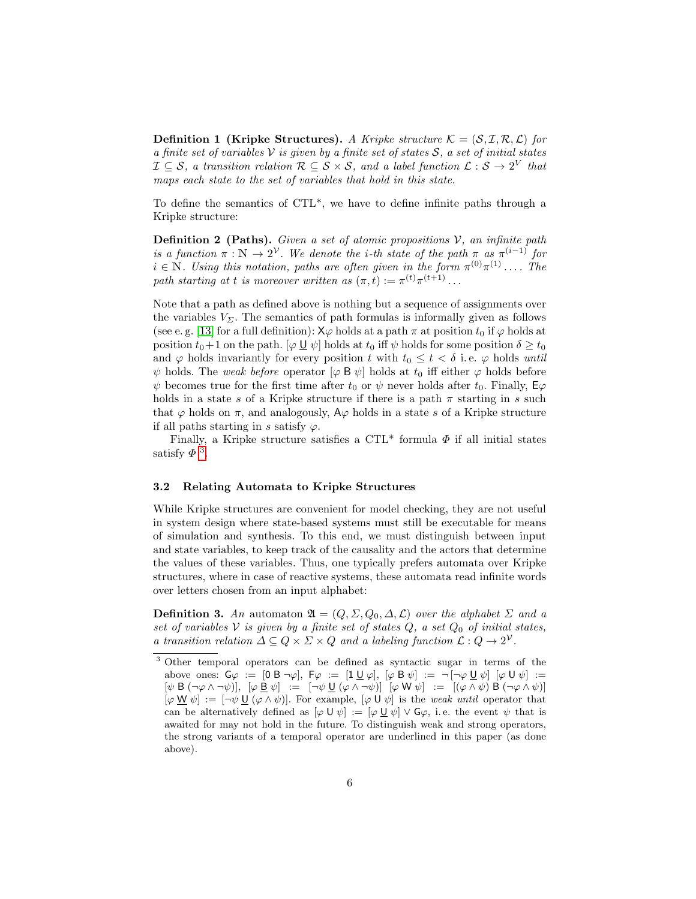**Definition 1 (Kripke Structures).** A Kripke structure  $\mathcal{K} = (\mathcal{S}, \mathcal{I}, \mathcal{R}, \mathcal{L})$  for a finite set of variables  $V$  is given by a finite set of states  $S$ , a set of initial states  $\mathcal{I} \subseteq \mathcal{S}$ , a transition relation  $\mathcal{R} \subseteq \mathcal{S} \times \mathcal{S}$ , and a label function  $\mathcal{L}: \mathcal{S} \to 2^V$  that maps each state to the set of variables that hold in this state.

To define the semantics of CTL\*, we have to define infinite paths through a Kripke structure:

**Definition 2 (Paths).** Given a set of atomic propositions  $V$ , an infinite path is a function  $\pi : \mathbb{N} \to 2^{\mathcal{V}}$ . We denote the *i*-th state of the path  $\pi$  as  $\pi^{(i-1)}$  for  $i \in \mathbb{N}$ . Using this notation, paths are often given in the form  $\pi^{(0)}\pi^{(1)}$ .... The path starting at t is moreover written as  $(\pi, t) := \pi^{(t)} \pi^{(t+1)} \dots$ 

Note that a path as defined above is nothing but a sequence of assignments over the variables  $V_{\Sigma}$ . The semantics of path formulas is informally given as follows (see e.g. [\[13\]](#page-17-0) for a full definition):  $X\varphi$  holds at a path  $\pi$  at position  $t_0$  if  $\varphi$  holds at position  $t_0+1$  on the path.  $[\varphi \underline{U} \psi]$  holds at  $t_0$  iff  $\psi$  holds for some position  $\delta \geq t_0$ and  $\varphi$  holds invariantly for every position t with  $t_0 \leq t < \delta$  i.e.  $\varphi$  holds until  $\psi$  holds. The weak before operator  $[\varphi \boxtimes \psi]$  holds at  $t_0$  iff either  $\varphi$  holds before  $\psi$  becomes true for the first time after  $t_0$  or  $\psi$  never holds after  $t_0$ . Finally,  $E\varphi$ holds in a state s of a Kripke structure if there is a path  $\pi$  starting in s such that  $\varphi$  holds on  $\pi$ , and analogously,  $A\varphi$  holds in a state s of a Kripke structure if all paths starting in s satisfy  $\varphi$ .

Finally, a Kripke structure satisfies a CTL<sup>\*</sup> formula  $\Phi$  if all initial states satisfy  $\Phi$ <sup>[3](#page-5-0)</sup>.

#### 3.2 Relating Automata to Kripke Structures

While Kripke structures are convenient for model checking, they are not useful in system design where state-based systems must still be executable for means of simulation and synthesis. To this end, we must distinguish between input and state variables, to keep track of the causality and the actors that determine the values of these variables. Thus, one typically prefers automata over Kripke structures, where in case of reactive systems, these automata read infinite words over letters chosen from an input alphabet:

**Definition 3.** An automaton  $\mathfrak{A} = (Q, \Sigma, Q_0, \Delta, \mathcal{L})$  over the alphabet  $\Sigma$  and a set of variables  $V$  is given by a finite set of states Q, a set  $Q_0$  of initial states, a transition relation  $\Delta \subseteq Q \times \Sigma \times Q$  and a labeling function  $\mathcal{L}: Q \to 2^{\mathcal{V}}$ .

<span id="page-5-0"></span><sup>3</sup> Other temporal operators can be defined as syntactic sugar in terms of the above ones:  $G\varphi := [0 \boxtimes \neg \varphi], F\varphi := [1 \underline{U} \varphi], [\varphi \boxtimes \psi] := \neg [\neg \varphi \underline{U} \psi] [\varphi \boxplus \psi] :=$  $[\psi \mathsf{B} (\neg \varphi \wedge \neg \psi)], [\varphi \mathsf{B} \psi] := [\neg \psi \mathsf{U} (\varphi \wedge \neg \psi)] [\varphi \mathsf{W} \psi] := [(\varphi \wedge \psi) \mathsf{B} (\neg \varphi \wedge \psi)]$  $[\varphi \underline{W} \psi] := [\neg \psi \underline{U} (\varphi \wedge \psi)].$  For example,  $[\varphi \underline{U} \psi]$  is the *weak until* operator that can be alternatively defined as  $[\varphi \cup \psi] := [\varphi \cup \psi] \vee \mathsf{G}\varphi$ , i.e. the event  $\psi$  that is awaited for may not hold in the future. To distinguish weak and strong operators, the strong variants of a temporal operator are underlined in this paper (as done above).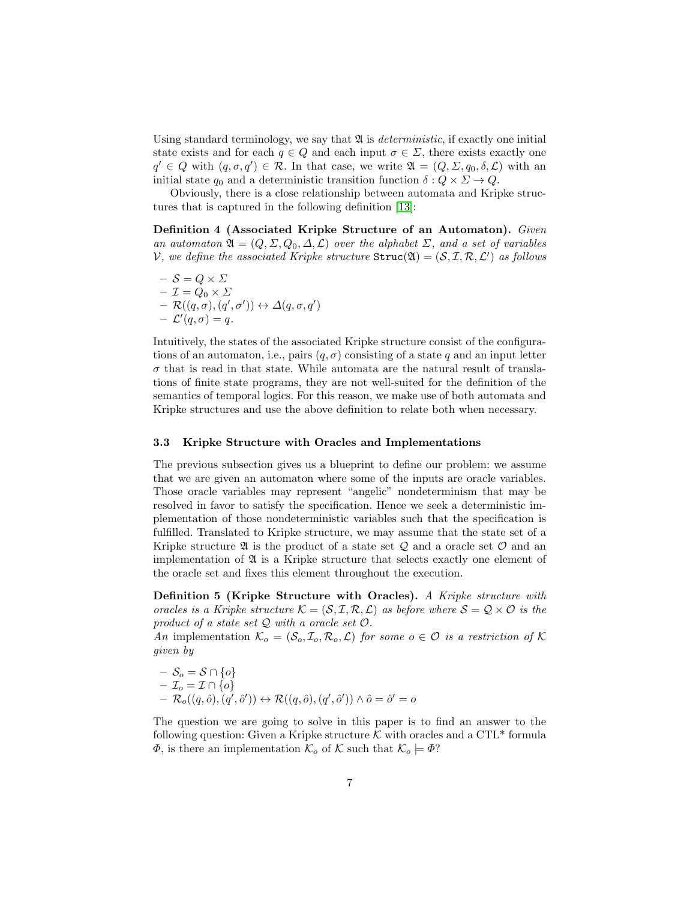Using standard terminology, we say that  $\mathfrak A$  is *deterministic*, if exactly one initial state exists and for each  $q \in Q$  and each input  $\sigma \in \Sigma$ , there exists exactly one  $q' \in Q$  with  $(q, \sigma, q') \in \mathcal{R}$ . In that case, we write  $\mathfrak{A} = (Q, \Sigma, q_0, \delta, \mathcal{L})$  with an initial state  $q_0$  and a deterministic transition function  $\delta: Q \times \Sigma \to Q$ .

Obviously, there is a close relationship between automata and Kripke structures that is captured in the following definition [\[13\]](#page-17-0):

Definition 4 (Associated Kripke Structure of an Automaton). Given an automaton  $\mathfrak{A} = (Q, \Sigma, Q_0, \Delta, \mathcal{L})$  over the alphabet  $\Sigma$ , and a set of variables V, we define the associated Kripke structure  $\text{Struc}(\mathfrak{A}) = (\mathcal{S}, \mathcal{I}, \mathcal{R}, \mathcal{L}')$  as follows

$$
- S = Q \times \Sigma
$$
  
-  $\mathcal{I} = Q_0 \times \Sigma$   
-  $\mathcal{R}((q, \sigma), (q', \sigma')) \leftrightarrow \Delta(q, \sigma, q')$   
-  $\mathcal{L}'(q, \sigma) = q.$ 

Intuitively, the states of the associated Kripke structure consist of the configurations of an automaton, i.e., pairs  $(q, \sigma)$  consisting of a state q and an input letter  $\sigma$  that is read in that state. While automata are the natural result of translations of finite state programs, they are not well-suited for the definition of the semantics of temporal logics. For this reason, we make use of both automata and Kripke structures and use the above definition to relate both when necessary.

#### 3.3 Kripke Structure with Oracles and Implementations

The previous subsection gives us a blueprint to define our problem: we assume that we are given an automaton where some of the inputs are oracle variables. Those oracle variables may represent "angelic" nondeterminism that may be resolved in favor to satisfy the specification. Hence we seek a deterministic implementation of those nondeterministic variables such that the specification is fulfilled. Translated to Kripke structure, we may assume that the state set of a Kripke structure  $\mathfrak A$  is the product of a state set  $\mathcal Q$  and a oracle set  $\mathcal O$  and an implementation of  $\mathfrak A$  is a Kripke structure that selects exactly one element of the oracle set and fixes this element throughout the execution.

Definition 5 (Kripke Structure with Oracles). A Kripke structure with oracles is a Kripke structure  $\mathcal{K} = (\mathcal{S}, \mathcal{I}, \mathcal{R}, \mathcal{L})$  as before where  $\mathcal{S} = \mathcal{Q} \times \mathcal{O}$  is the product of a state set  $Q$  with a oracle set  $Q$ .

An implementation  $\mathcal{K}_o = (\mathcal{S}_o, \mathcal{I}_o, \mathcal{R}_o, \mathcal{L})$  for some  $o \in \mathcal{O}$  is a restriction of  $\mathcal K$ given by

$$
\begin{aligned}\n& -\mathcal{S}_o = \mathcal{S} \cap \{o\} \\
& -\mathcal{I}_o = \mathcal{I} \cap \{o\} \\
& -\mathcal{R}_o((q, \hat{o}), (q', \hat{o}')) \leftrightarrow \mathcal{R}((q, \hat{o}), (q', \hat{o}')) \land \hat{o} = \hat{o}' = o\n\end{aligned}
$$

The question we are going to solve in this paper is to find an answer to the following question: Given a Kripke structure  $K$  with oracles and a CTL\* formula  $\Phi$ , is there an implementation  $\mathcal{K}_o$  of  $\mathcal{K}$  such that  $\mathcal{K}_o \models \Phi$ ?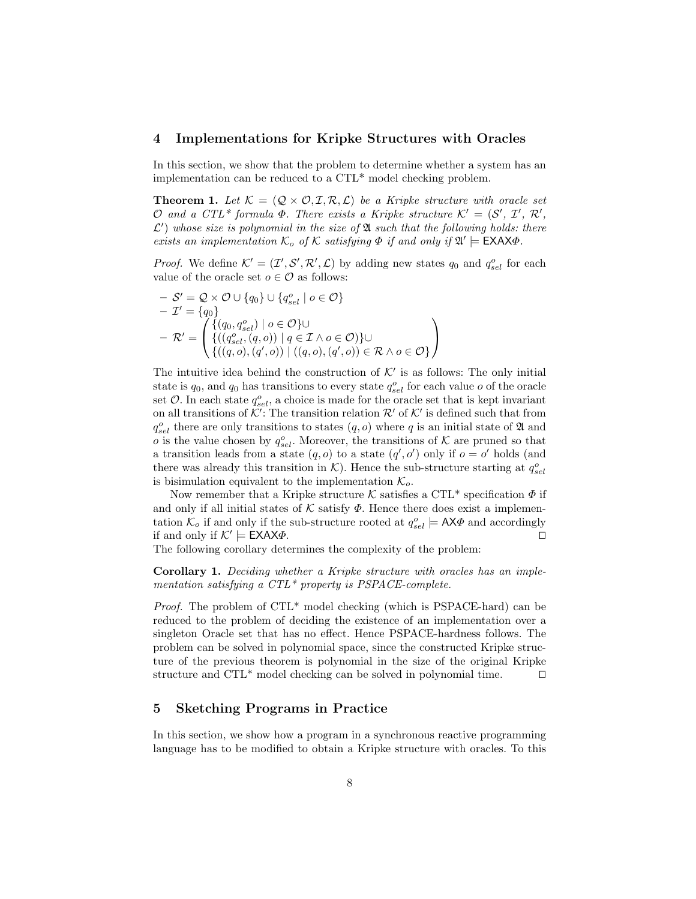### 4 Implementations for Kripke Structures with Oracles

In this section, we show that the problem to determine whether a system has an implementation can be reduced to a CTL\* model checking problem.

**Theorem 1.** Let  $\mathcal{K} = (\mathcal{Q} \times \mathcal{O}, \mathcal{I}, \mathcal{R}, \mathcal{L})$  be a Kripke structure with oracle set O and a CTL\* formula  $\Phi$ . There exists a Kripke structure  $\mathcal{K}' = (\mathcal{S}', \mathcal{I}', \mathcal{R}',$  $\mathcal{L}'$ ) whose size is polynomial in the size of  $\mathfrak A$  such that the following holds: there exists an implementation  $\mathcal{K}_o$  of  $\mathcal K$  satisfying  $\Phi$  if and only if  $\mathfrak{A}'\models$  **EXAX** $\Phi$ .

*Proof.* We define  $K' = (\mathcal{I}', \mathcal{S}', \mathcal{R}', \mathcal{L})$  by adding new states  $q_0$  and  $q_{sel}^o$  for each value of the oracle set  $o \in \mathcal{O}$  as follows:

$$
- S' = Q \times O \cup \{q_0\} \cup \{q_{sel}^o \mid o \in O\}
$$
  
\n
$$
- \mathcal{I}' = \{q_0\}
$$
  
\n
$$
- \mathcal{R}' = \left( \{ (q_0, q_{sel}^o) \mid o \in O \} \cup \{ ((q_{sel}^o, (q, o)) \mid q \in \mathcal{I} \land o \in O) \} \cup \{ ((q, o), (q', o)) \mid ((q, o), (q', o)) \in \mathcal{R} \land o \in O \} \right)
$$

The intuitive idea behind the construction of  $K'$  is as follows: The only initial state is  $q_0$ , and  $q_0$  has transitions to every state  $q_{sel}^o$  for each value o of the oracle set  $\mathcal{O}$ . In each state  $q_{sel}^o$ , a choice is made for the oracle set that is kept invariant on all transitions of  $K'$ : The transition relation  $\mathcal{R}'$  of  $\mathcal{K}'$  is defined such that from  $q_{sel}^o$  there are only transitions to states  $(q, o)$  where q is an initial state of  $\mathfrak A$  and *o* is the value chosen by  $q_{sel}^o$ . Moreover, the transitions of  $K$  are pruned so that a transition leads from a state  $(q, o)$  to a state  $(q', o')$  only if  $o = o'$  holds (and there was already this transition in  $K$ ). Hence the sub-structure starting at  $q_{sel}^o$ is bisimulation equivalent to the implementation  $\mathcal{K}_o$ .

Now remember that a Kripke structure  $K$  satisfies a CTL\* specification  $\Phi$  if and only if all initial states of K satisfy  $\Phi$ . Hence there does exist a implementation  $\mathcal{K}_o$  if and only if the sub-structure rooted at  $q_{sel}^o \models \mathsf{AX}\Phi$  and accordingly if and only if  $K' \models EXAX\Phi$ .

The following corollary determines the complexity of the problem:

Corollary 1. Deciding whether a Kripke structure with oracles has an implementation satisfying a  $CTL^*$  property is PSPACE-complete.

Proof. The problem of CTL\* model checking (which is PSPACE-hard) can be reduced to the problem of deciding the existence of an implementation over a singleton Oracle set that has no effect. Hence PSPACE-hardness follows. The problem can be solved in polynomial space, since the constructed Kripke structure of the previous theorem is polynomial in the size of the original Kripke structure and  $\text{CTL}^*$  model checking can be solved in polynomial time.  $\square$ 

# 5 Sketching Programs in Practice

In this section, we show how a program in a synchronous reactive programming language has to be modified to obtain a Kripke structure with oracles. To this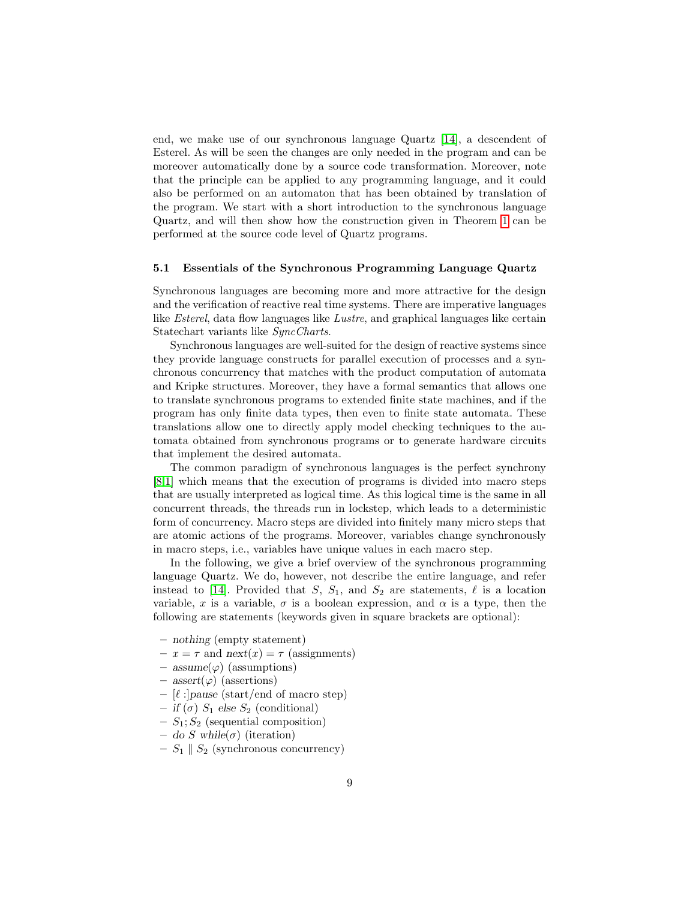end, we make use of our synchronous language Quartz [\[14\]](#page-17-12), a descendent of Esterel. As will be seen the changes are only needed in the program and can be moreover automatically done by a source code transformation. Moreover, note that the principle can be applied to any programming language, and it could also be performed on an automaton that has been obtained by translation of the program. We start with a short introduction to the synchronous language Quartz, and will then show how the construction given in Theorem [1](#page-2-1) can be performed at the source code level of Quartz programs.

#### 5.1 Essentials of the Synchronous Programming Language Quartz

Synchronous languages are becoming more and more attractive for the design and the verification of reactive real time systems. There are imperative languages like Esterel, data flow languages like Lustre, and graphical languages like certain Statechart variants like SyncCharts.

Synchronous languages are well-suited for the design of reactive systems since they provide language constructs for parallel execution of processes and a synchronous concurrency that matches with the product computation of automata and Kripke structures. Moreover, they have a formal semantics that allows one to translate synchronous programs to extended finite state machines, and if the program has only finite data types, then even to finite state automata. These translations allow one to directly apply model checking techniques to the automata obtained from synchronous programs or to generate hardware circuits that implement the desired automata.

The common paradigm of synchronous languages is the perfect synchrony [\[8,](#page-17-15)[1\]](#page-17-16) which means that the execution of programs is divided into macro steps that are usually interpreted as logical time. As this logical time is the same in all concurrent threads, the threads run in lockstep, which leads to a deterministic form of concurrency. Macro steps are divided into finitely many micro steps that are atomic actions of the programs. Moreover, variables change synchronously in macro steps, i.e., variables have unique values in each macro step.

In the following, we give a brief overview of the synchronous programming language Quartz. We do, however, not describe the entire language, and refer instead to [\[14\]](#page-17-12). Provided that S,  $S_1$ , and  $S_2$  are statements,  $\ell$  is a location variable, x is a variable,  $\sigma$  is a boolean expression, and  $\alpha$  is a type, then the following are statements (keywords given in square brackets are optional):

- nothing (empty statement)
- $x = \tau$  and  $next(x) = \tau$  (assignments)
- $-$  assume( $\varphi$ ) (assumptions)
- $-$  assert $(\varphi)$  (assertions)
- $[\ell :]$ pause (start/end of macro step)
- $-$  if  $(\sigma)$   $S_1$  else  $S_2$  (conditional)
- $S_1; S_2$  (sequential composition)
- do S while(σ) (iteration)
- $S_1 \parallel S_2$  (synchronous concurrency)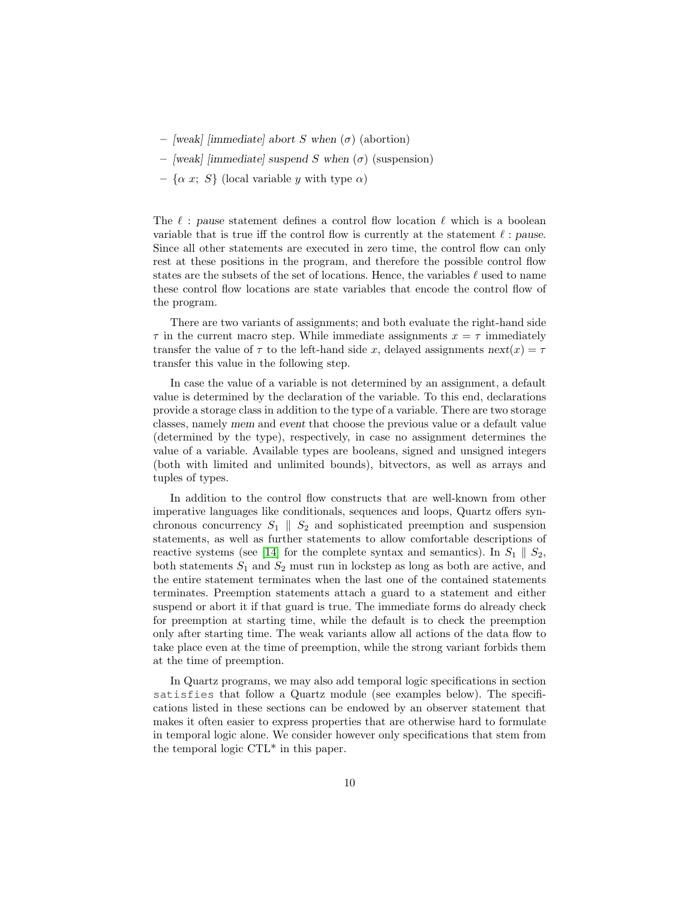- $-$  [weak] [immediate] abort S when  $(\sigma)$  (abortion)
- $-$  [weak] [immediate] suspend S when ( $\sigma$ ) (suspension)
- $\{\alpha x; S\}$  (local variable y with type  $\alpha$ )

The  $\ell$ : pause statement defines a control flow location  $\ell$  which is a boolean variable that is true iff the control flow is currently at the statement  $\ell$  : pause. Since all other statements are executed in zero time, the control flow can only rest at these positions in the program, and therefore the possible control flow states are the subsets of the set of locations. Hence, the variables  $\ell$  used to name these control flow locations are state variables that encode the control flow of the program.

There are two variants of assignments; and both evaluate the right-hand side  $\tau$  in the current macro step. While immediate assignments  $x = \tau$  immediately transfer the value of  $\tau$  to the left-hand side x, delayed assignments next(x) =  $\tau$ transfer this value in the following step.

In case the value of a variable is not determined by an assignment, a default value is determined by the declaration of the variable. To this end, declarations provide a storage class in addition to the type of a variable. There are two storage classes, namely mem and event that choose the previous value or a default value (determined by the type), respectively, in case no assignment determines the value of a variable. Available types are booleans, signed and unsigned integers (both with limited and unlimited bounds), bitvectors, as well as arrays and tuples of types.

In addition to the control flow constructs that are well-known from other imperative languages like conditionals, sequences and loops, Quartz offers synchronous concurrency  $S_1 \parallel S_2$  and sophisticated preemption and suspension statements, as well as further statements to allow comfortable descriptions of reactive systems (see [\[14\]](#page-17-12) for the complete syntax and semantics). In  $S_1 \parallel S_2$ , both statements  $S_1$  and  $S_2$  must run in lockstep as long as both are active, and the entire statement terminates when the last one of the contained statements terminates. Preemption statements attach a guard to a statement and either suspend or abort it if that guard is true. The immediate forms do already check for preemption at starting time, while the default is to check the preemption only after starting time. The weak variants allow all actions of the data flow to take place even at the time of preemption, while the strong variant forbids them at the time of preemption.

In Quartz programs, we may also add temporal logic specifications in section satisfies that follow a Quartz module (see examples below). The specifications listed in these sections can be endowed by an observer statement that makes it often easier to express properties that are otherwise hard to formulate in temporal logic alone. We consider however only specifications that stem from the temporal logic CTL\* in this paper.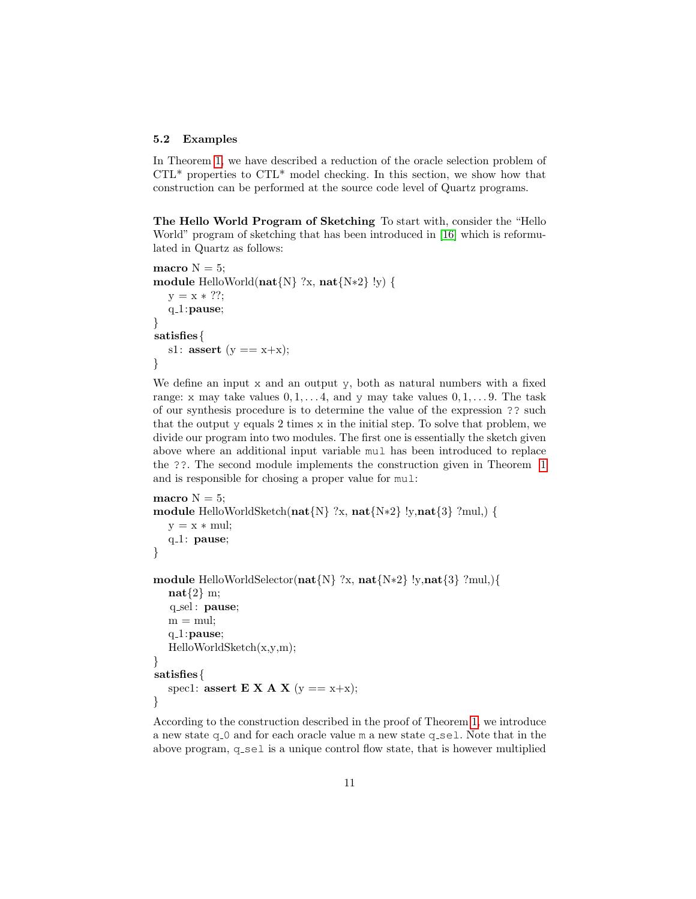#### 5.2 Examples

In Theorem [1,](#page-2-1) we have described a reduction of the oracle selection problem of CTL\* properties to CTL\* model checking. In this section, we show how that construction can be performed at the source code level of Quartz programs.

The Hello World Program of Sketching To start with, consider the "Hello World" program of sketching that has been introduced in [\[16\]](#page-17-3) which is reformulated in Quartz as follows:

```
macro N = 5;
module HelloWorld(nat{N} ?x, nat{N*2} !y) {
  y = x * ??:
  q_1: pause;
}
satisfies{
  s1: assert (y == x+x);
}
```
We define an input  $x$  and an output  $y$ , both as natural numbers with a fixed range: x may take values  $0, 1, \ldots 4$ , and y may take values  $0, 1, \ldots 9$ . The task of our synthesis procedure is to determine the value of the expression ?? such that the output  $y$  equals 2 times  $x$  in the initial step. To solve that problem, we divide our program into two modules. The first one is essentially the sketch given above where an additional input variable mul has been introduced to replace the ??. The second module implements the construction given in Theorem [1](#page-2-1) and is responsible for chosing a proper value for mul:

```
macro N = 5;
module HelloWorldSketch(nat{N} ?x, nat{N*2} !y,nat{3} ?mul,) {
  y = x * mul;q_1: pause;
}
module HelloWorldSelector(nat{N} ?x, nat{N*2} !y,nat{3} ?mul,){
  nat\{2\} m;
   q_sel: pause;
  m = \text{mul}:
  q_1: pause;
  HelloWorldSketch(x,y,m);
}
satisfies{
  spec1: assert E X A X (y == x+x);
}
```
According to the construction described in the proof of Theorem [1,](#page-2-1) we introduce a new state  $q_0$  and for each oracle value m a new state  $q$  sel. Note that in the above program, q sel is a unique control flow state, that is however multiplied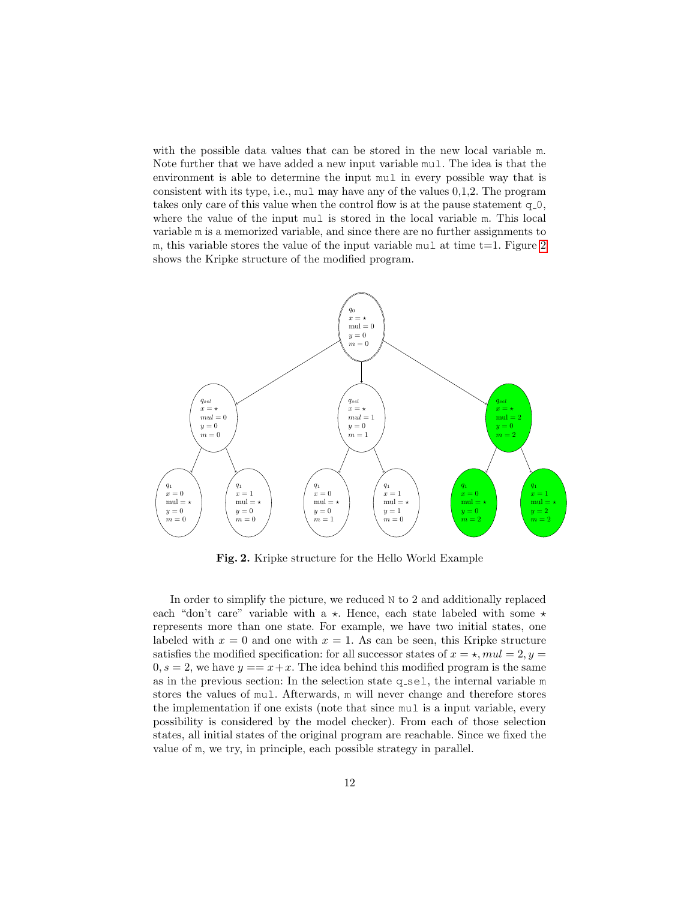with the possible data values that can be stored in the new local variable m. Note further that we have added a new input variable mul. The idea is that the environment is able to determine the input mul in every possible way that is consistent with its type, i.e., mul may have any of the values 0,1,2. The program takes only care of this value when the control flow is at the pause statement  $q=0$ , where the value of the input mul is stored in the local variable m. This local variable m is a memorized variable, and since there are no further assignments to m, this variable stores the value of the input variable mul at time  $t=1$ . Figure [2](#page-11-0) shows the Kripke structure of the modified program.



<span id="page-11-0"></span>Fig. 2. Kripke structure for the Hello World Example

In order to simplify the picture, we reduced N to 2 and additionally replaced each "don't care" variable with a  $\star$ . Hence, each state labeled with some  $\star$ represents more than one state. For example, we have two initial states, one labeled with  $x = 0$  and one with  $x = 1$ . As can be seen, this Kripke structure satisfies the modified specification: for all successor states of  $x = \star$ ,  $mul = 2, y =$  $0, s = 2$ , we have  $y == x + x$ . The idea behind this modified program is the same as in the previous section: In the selection state  $q$  sel, the internal variable  $m$ stores the values of mul. Afterwards, m will never change and therefore stores the implementation if one exists (note that since mul is a input variable, every possibility is considered by the model checker). From each of those selection states, all initial states of the original program are reachable. Since we fixed the value of m, we try, in principle, each possible strategy in parallel.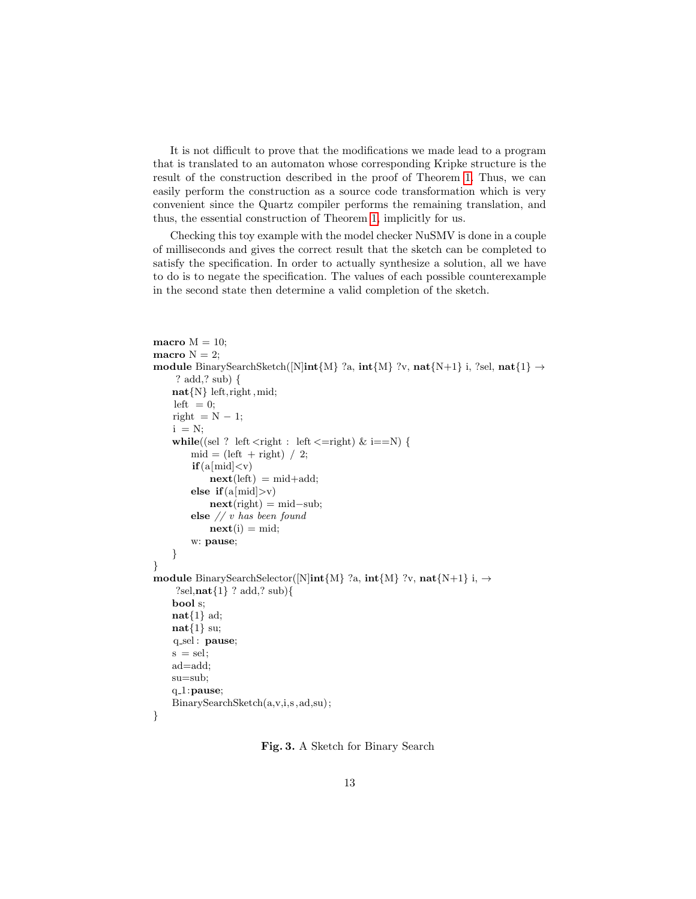It is not difficult to prove that the modifications we made lead to a program that is translated to an automaton whose corresponding Kripke structure is the result of the construction described in the proof of Theorem [1.](#page-2-1) Thus, we can easily perform the construction as a source code transformation which is very convenient since the Quartz compiler performs the remaining translation, and thus, the essential construction of Theorem [1,](#page-2-1) implicitly for us.

Checking this toy example with the model checker NuSMV is done in a couple of milliseconds and gives the correct result that the sketch can be completed to satisfy the specification. In order to actually synthesize a solution, all we have to do is to negate the specification. The values of each possible counterexample in the second state then determine a valid completion of the sketch.

```
macro M = 10;
macro N = 2;
module BinarySearchSketch([N]int{M} ?a, int{M} ?v, nat{N+1} i, ?sel, nat{1} \rightarrow? add,? sub) {
    nat\{N\} left, right, mid;
    left = 0;right = N - 1;
    i = N;
    while((sel ? left \langle right : left \langle =right) & i==N) {
        mid = (left + right) / 2;if(a[\text{mid}]< v)next(left) = mid + add;else if(a[mid]>v)
            next(right) = mid-sub;else // v has been found
            next(i) = mid;w: pause;
   }
}
module BinarySearchSelector([N]int{M} ?a, int{M} ?v, nat{N+1} i, \rightarrow?sel,nat{1}? add,? sub){
    bool s;
    nat{1} ad;nat{1} su;
    q_sel: pause;
    s = sel;ad=add;
   su=sub;
    q<sub>-1</sub>:pause;
    BinarySearchSketch(a,v,i,s,ad,su);
}
```
<span id="page-12-0"></span>Fig. 3. A Sketch for Binary Search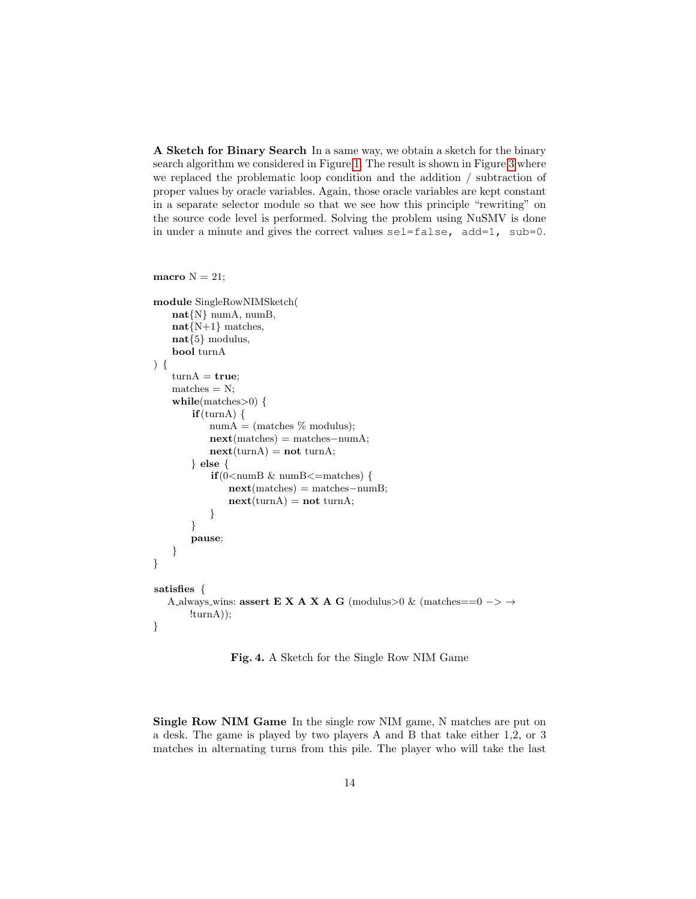A Sketch for Binary Search In a same way, we obtain a sketch for the binary search algorithm we considered in Figure [1.](#page-2-1) The result is shown in Figure [3](#page-12-0) where we replaced the problematic loop condition and the addition / subtraction of proper values by oracle variables. Again, those oracle variables are kept constant in a separate selector module so that we see how this principle "rewriting" on the source code level is performed. Solving the problem using NuSMV is done in under a minute and gives the correct values sel=false, add=1, sub=0.

macro  $N = 21$ ;

```
module SingleRowNIMSketch(
   nat\{N\} numA, numB,
   nat{N+1} matches,
   nat{5} modulus,
   bool turnA
) {
   turnA = true;matches = N;
   while(matches>0) {
       if(turnA) {
           numA = (matches % modulus);next(matches) = matches−numA;
           next(turnA) = not turnA;} else {
           if(0 \leq numB \& numB \leq = matches) {
              next(matches) = matches−numB;
              next(turnA) = not turnA;}
       }
       pause;
   }
}
satisfies {
  A always wins: assert E X A X A G (modulus>0 & (matches==0 -> \rightarrow!turnA);
}
```
<span id="page-13-0"></span>Fig. 4. A Sketch for the Single Row NIM Game

Single Row NIM Game In the single row NIM game, N matches are put on a desk. The game is played by two players A and B that take either 1,2, or 3 matches in alternating turns from this pile. The player who will take the last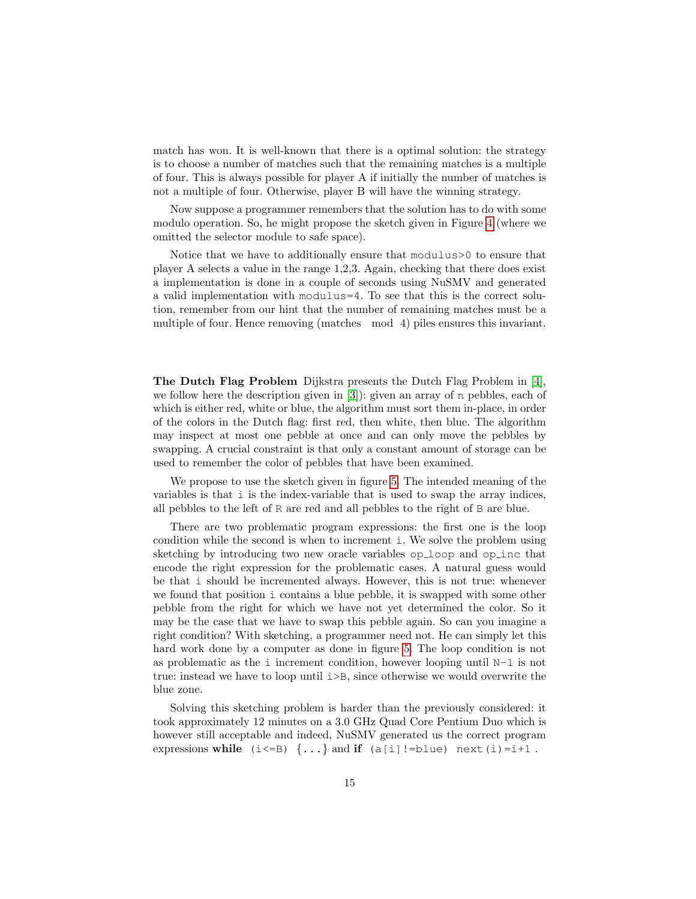match has won. It is well-known that there is a optimal solution: the strategy is to choose a number of matches such that the remaining matches is a multiple of four. This is always possible for player A if initially the number of matches is not a multiple of four. Otherwise, player B will have the winning strategy.

Now suppose a programmer remembers that the solution has to do with some modulo operation. So, he might propose the sketch given in Figure [4](#page-13-0) (where we omitted the selector module to safe space).

Notice that we have to additionally ensure that modulus>0 to ensure that player A selects a value in the range 1,2,3. Again, checking that there does exist a implementation is done in a couple of seconds using NuSMV and generated a valid implementation with modulus=4. To see that this is the correct solution, remember from our hint that the number of remaining matches must be a multiple of four. Hence removing (matches mod 4) piles ensures this invariant.

The Dutch Flag Problem Dijkstra presents the Dutch Flag Problem in [\[4\]](#page-17-17), we follow here the description given in [\[3\]](#page-17-11)): given an array of n pebbles, each of which is either red, white or blue, the algorithm must sort them in-place, in order of the colors in the Dutch flag: first red, then white, then blue. The algorithm may inspect at most one pebble at once and can only move the pebbles by swapping. A crucial constraint is that only a constant amount of storage can be used to remember the color of pebbles that have been examined.

We propose to use the sketch given in figure [5.](#page-15-0) The intended meaning of the variables is that i is the index-variable that is used to swap the array indices, all pebbles to the left of R are red and all pebbles to the right of B are blue.

There are two problematic program expressions: the first one is the loop condition while the second is when to increment i. We solve the problem using sketching by introducing two new oracle variables op loop and op inc that encode the right expression for the problematic cases. A natural guess would be that i should be incremented always. However, this is not true: whenever we found that position i contains a blue pebble, it is swapped with some other pebble from the right for which we have not yet determined the color. So it may be the case that we have to swap this pebble again. So can you imagine a right condition? With sketching, a programmer need not. He can simply let this hard work done by a computer as done in figure [5.](#page-15-0) The loop condition is not as problematic as the  $\pm$  increment condition, however looping until N-1 is not true: instead we have to loop until i>B, since otherwise we would overwrite the blue zone.

Solving this sketching problem is harder than the previously considered: it took approximately 12 minutes on a 3.0 GHz Quad Core Pentium Duo which is however still acceptable and indeed, NuSMV generated us the correct program expressions while  $(i \le B) \ \{ \ldots \}$  and if  $(a[i] != blue)$  next $(i) = i+1$ .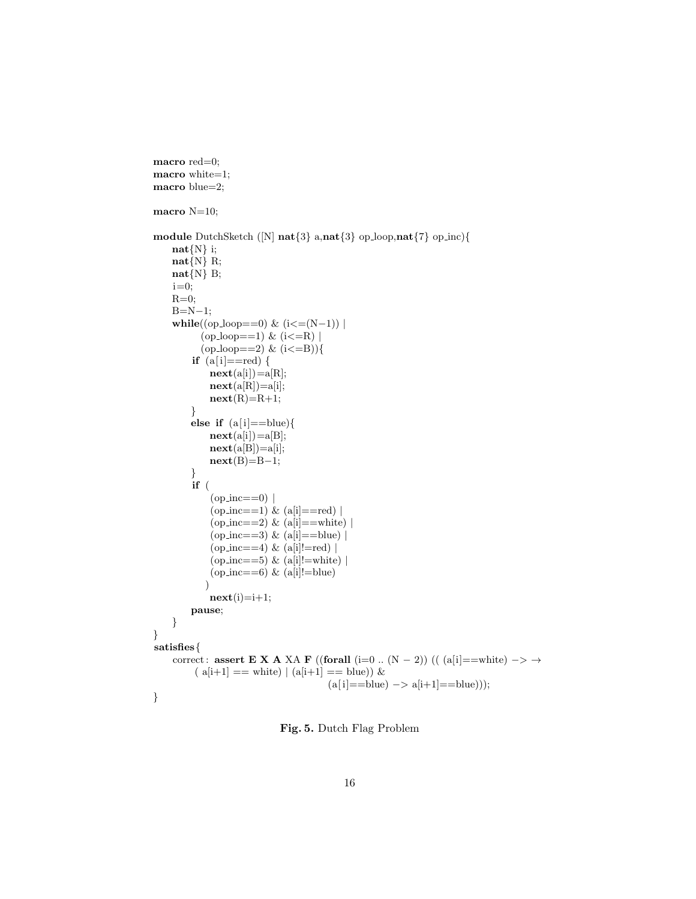```
macro red=0;
macro white=1;
macro blue=2;
```

```
macro N=10;
```

```
module DutchSketch ([N] nat{3} a,nat{3} op loop,nat{7} op inc){
   nat{N} i;
   nat{N} R;nat{N} B;
   i=0;R=0;B=N-1;while((op_loop==0) & (i \leq (N-1)) |
         (op\_loop == 1) & (i<=R)(op\_loop==2) & (i<=B)){
       if (a[i]=red) {
           next(a[i])=a[R];next(a[R])=a[i];next(R)=R+1;}
       else if (a[i]==blue){
           next(a[i])=a[B];next(a[B])=a[i];next(B)=B-1;}
       if (
           (op\_inc==0) |
           (opinc==1) & (a[i]==red)(op_inc==2) & (a[i]==white)(opinc==3) & (a[i]==blue)(opinc==4) & (a[i]!=red)(op\_inc==5) & (a[i]!=white)(op\_inc==6) & (a[i]!=blue))
           next(i)=i+1;pause;
   }
}
satisfies{
   correct: assert E X A XA F ((forall (i=0 .. (N − 2)) (( (a[i]==white) \rightarrow \rightarrow(a[i+1] == white) | (a[i+1] == blue)) &(a[i]==blue) \rightarrow a[i+1]==blue));
}
```
<span id="page-15-0"></span>Fig. 5. Dutch Flag Problem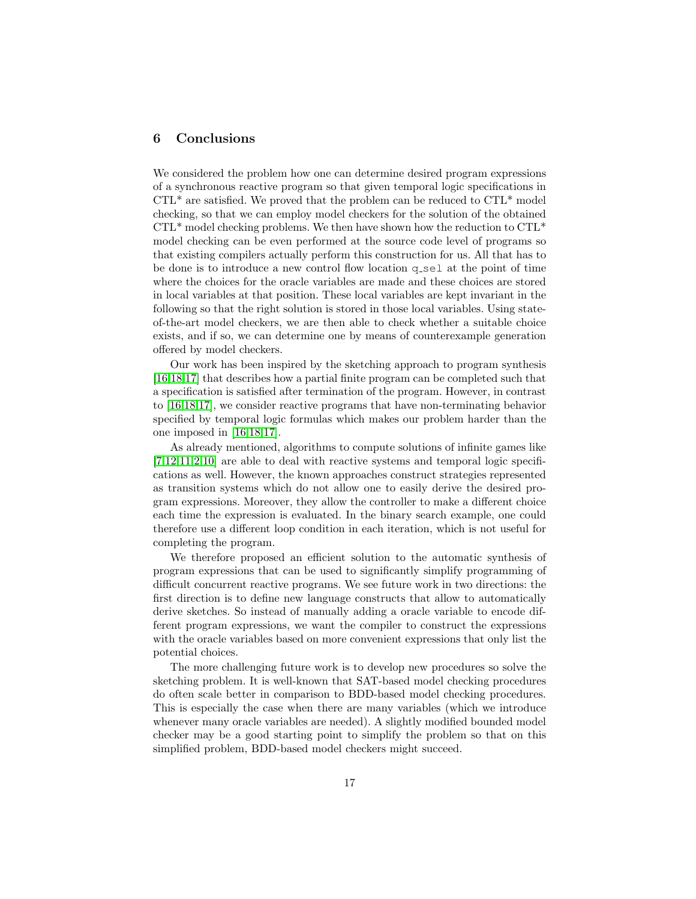# 6 Conclusions

We considered the problem how one can determine desired program expressions of a synchronous reactive program so that given temporal logic specifications in  $CTL^*$  are satisfied. We proved that the problem can be reduced to  $CTL^*$  model checking, so that we can employ model checkers for the solution of the obtained  $\text{CTL}^*$  model checking problems. We then have shown how the reduction to  $\text{CTL}^*$ model checking can be even performed at the source code level of programs so that existing compilers actually perform this construction for us. All that has to be done is to introduce a new control flow location q sel at the point of time where the choices for the oracle variables are made and these choices are stored in local variables at that position. These local variables are kept invariant in the following so that the right solution is stored in those local variables. Using stateof-the-art model checkers, we are then able to check whether a suitable choice exists, and if so, we can determine one by means of counterexample generation offered by model checkers.

Our work has been inspired by the sketching approach to program synthesis [\[16](#page-17-3)[,18](#page-17-4)[,17\]](#page-17-5) that describes how a partial finite program can be completed such that a specification is satisfied after termination of the program. However, in contrast to [\[16](#page-17-3)[,18,](#page-17-4)[17\]](#page-17-5), we consider reactive programs that have non-terminating behavior specified by temporal logic formulas which makes our problem harder than the one imposed in [\[16](#page-17-3)[,18](#page-17-4)[,17\]](#page-17-5).

As already mentioned, algorithms to compute solutions of infinite games like [\[7,](#page-17-6)[12](#page-17-7)[,11,](#page-17-8)[2](#page-17-9)[,10\]](#page-17-10) are able to deal with reactive systems and temporal logic specifications as well. However, the known approaches construct strategies represented as transition systems which do not allow one to easily derive the desired program expressions. Moreover, they allow the controller to make a different choice each time the expression is evaluated. In the binary search example, one could therefore use a different loop condition in each iteration, which is not useful for completing the program.

We therefore proposed an efficient solution to the automatic synthesis of program expressions that can be used to significantly simplify programming of difficult concurrent reactive programs. We see future work in two directions: the first direction is to define new language constructs that allow to automatically derive sketches. So instead of manually adding a oracle variable to encode different program expressions, we want the compiler to construct the expressions with the oracle variables based on more convenient expressions that only list the potential choices.

The more challenging future work is to develop new procedures so solve the sketching problem. It is well-known that SAT-based model checking procedures do often scale better in comparison to BDD-based model checking procedures. This is especially the case when there are many variables (which we introduce whenever many oracle variables are needed). A slightly modified bounded model checker may be a good starting point to simplify the problem so that on this simplified problem, BDD-based model checkers might succeed.